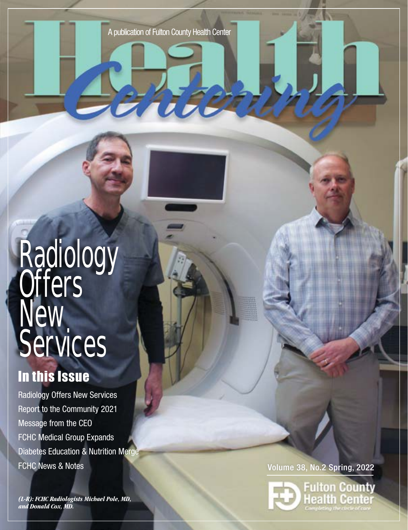# **Radiology Offers** New. Services

# In this Issue

Radiology Offers New Services Report to the Community 2021 Message from the CEO FCHC Medical Group Expands Diabetes Education & Nutrition Merge FCHC News & Notes **Volume 38, No.2 Spring, 2022** 

*(L-R): FCHC Radiologists Michael Pole, MD, and Donald Cox, MD.*

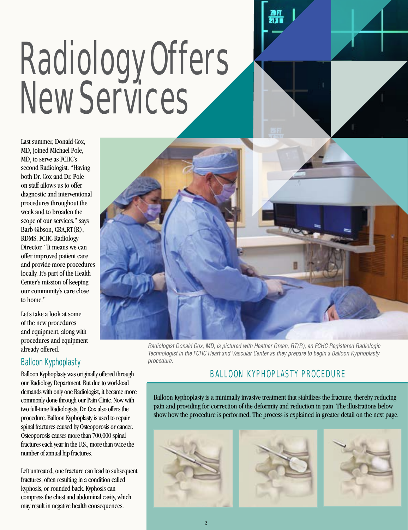# Radiology Offers New Services

Last summer, Donald Cox, MD, joined Michael Pole, MD, to serve as FCHC's second Radiologist. "Having both Dr. Cox and Dr. Pole on staff allows us to offer diagnostic and interventional procedures throughout the week and to broaden the scope of our services," says Barb Gibson, CRA,RT(R), RDMS, FCHC Radiology Director. "It means we can offer improved patient care and provide more procedures locally. It's part of the Health Center's mission of keeping our community's care close to home."

Let's take a look at some of the new procedures and equipment, along with procedures and equipment

# Balloon Kyphoplasty

Balloon Kyphoplasty was originally offered through our Radiology Department. But due to workload demands with only one Radiologist, it became more commonly done through our Pain Clinic. Now with two full-time Radiologists, Dr. Cox also offers the procedure. Balloon Kyphoplasty is used to repair spinal fractures caused by Osteoporosis or cancer. Osteoporosis causes more than 700,000 spinal fractures each year in the U.S., more than twice the number of annual hip fractures.

Left untreated, one fracture can lead to subsequent fractures, often resulting in a condition called kyphosis, or rounded back. Kyphosis can compress the chest and abdominal cavity, which may result in negative health consequences.



already offered.<br>already offered. The state of the FOUO Heather Creating Continues the property is positive Registered Radiologic Technologist in the FCHC Heart and Vascular Center as they prepare to begin a Balloon Kyphoplasty procedure.

# BALLOON KYPHOPLASTY PROCEDURE

Balloon Kyphoplasty is a minimally invasive treatment that stabilizes the fracture, thereby reducing pain and providing for correction of the deformity and reduction in pain. The illustrations below show how the procedure is performed. The process is explained in greater detail on the next page.

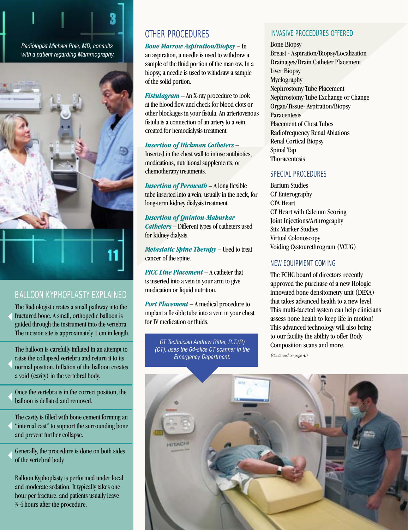



# BALLOON KYPHOPLASTY EXPLAINED

 The Radiologist creates a small pathway into the fractured bone. A small, orthopedic balloon is guided through the instrument into the vertebra. The incision site is approximately 1 cm in length.

The balloon is carefully inflated in an attempt to raise the collapsed vertebra and return it to its normal position. Inflation of the balloon creates a void (cavity) in the vertebral body. 

Once the vertebra is in the correct position, the balloon is deflated and removed. 

The cavity is filled with bone cement forming an "internal cast" to support the surrounding bone and prevent further collapse. 

Generally, the procedure is done on both sides of the vertebral body. 

Balloon Kyphoplasty is performed under local and moderate sedation. It typically takes one hour per fracture, and patients usually leave 3-4 hours after the procedure.

# OTHER PROCEDURES

# *Bone Marrow Aspiration/Biopsy* – In

an aspiration, a needle is used to withdraw a sample of the fluid portion of the marrow. In a biopsy, a needle is used to withdraw a sample of the solid portion.

*Fistulagram* – An X-ray procedure to look at the blood flow and check for blood clots or other blockages in your fistula. An arteriovenous fistula is a connection of an artery to a vein, created for hemodialysis treatment.

## *Insertion of Hickman Catheters* –

Inserted in the chest wall to infuse antibiotics, medications, nutritional supplements, or chemotherapy treatments.

*Insertion of Permcath* – A long flexible tube inserted into a vein, usually in the neck, for long-term kidney dialysis treatment.

# *Insertion of Quinton-Mahurkar Catheters* – Different types of catheters used for kidney dialysis.

*Metastatic Spine Therapy* – Used to treat cancer of the spine.

*PICC Line Placement* – A catheter that is inserted into a vein in your arm to give medication or liquid nutrition.

*Port Placement* – A medical procedure to implant a flexible tube into a vein in your chest for IV medication or fluids.

CT Technician Andrew Ritter, R.T. $(R)$  Composition scans and more. (CT), uses the 64-slice CT scanner in the Emergency Department.

# INVASIVE PROCEDURES OFFERED

Bone Biopsy Breast - Aspiration/Biopsy/Localization Drainages/Drain Catheter Placement Liver Biopsy Myelography Nephrostomy Tube Placement Nephrostomy Tube Exchange or Change Organ/Tissue- Aspiration/Biopsy Paracentesis Placement of Chest Tubes Radiofrequency Renal Ablations Renal Cortical Biopsy Spinal Tap Thoracentesis

# SPECIAL PROCEDURES

Barium Studies CT Enterography CTA Heart CT Heart with Calcium Scoring Joint Injections/Arthrography Sitz Marker Studies Virtual Colonoscopy Voiding Cystourethrogram (VCUG)

# NEW EQUIPMENT COMING

The FCHC board of directors recently approved the purchase of a new Hologic innovated bone densitometry unit (DEXA) that takes advanced health to a new level. This multi-faceted system can help clinicians assess bone health to keep life in motion! This advanced technology will also bring to our facility the ability to offer Body

(Continued on page 4.)

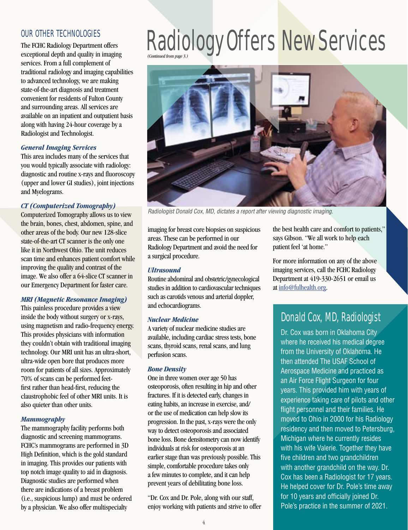# OUR OTHER TECHNOLOGIES

The FCHC Radiology Department offers exceptional depth and quality in imaging services. From a full complement of traditional radiology and imaging capabilities to advanced technology, we are making state-of-the-art diagnosis and treatment convenient for residents of Fulton County and surrounding areas. All services are available on an inpatient and outpatient basis along with having 24-hour coverage by a Radiologist and Technologist.

# *General Imaging Services*

This area includes many of the services that you would typically associate with radiology: diagnostic and routine x-rays and fluoroscopy (upper and lower GI studies), joint injections and Myelograms.

# *CT (Computerized Tomography)*

Computerized Tomography allows us to view the brain, bones, chest, abdomen, spine, and other areas of the body. Our new 128-slice state-of-the-art CT scanner is the only one like it in Northwest Ohio. The unit reduces scan time and enhances patient comfort while improving the quality and contrast of the image. We also offer a 64-slice CT scanner in our Emergency Department for faster care.

# *MRI (Magnetic Resonance Imaging)*

This painless procedure provides a view inside the body without surgery or x-rays, using magnetism and radio-frequency energy. This provides physicians with information they couldn't obtain with traditional imaging technology. Our MRI unit has an ultra-short, ultra-wide open bore that produces more room for patients of all sizes. Approximately 70% of scans can be performed feetfirst rather than head-first, reducing the claustrophobic feel of other MRI units. It is also quieter than other units.

# *Mammography*

The mammography facility performs both diagnostic and screening mammograms. FCHC's mammograms are performed in 3D High Definition, which is the gold standard in imaging. This provides our patients with top notch image quality to aid in diagnosis. Diagnostic studies are performed when there are indications of a breast problem (i.e., suspicious lump) and must be ordered by a physician. We also offer multispecialty

# (Continued from page 3.) Radiology Offers New Services



Radiologist Donald Cox, MD, dictates a report after viewing diagnostic imaging.

imaging for breast core biopsies on suspicious areas. These can be performed in our Radiology Department and avoid the need for a surgical procedure.

## *Ultrasound*

Routine abdominal and obstetric/gynecological studies in addition to cardiovascular techniques such as carotids venous and arterial doppler, and echocardiograms.

## *Nuclear Medicine*

A variety of nuclear medicine studies are available, including cardiac stress tests, bone scans, thyroid scans, renal scans, and lung perfusion scans.

## *Bone Density*

One in three women over age 50 has osteoporosis, often resulting in hip and other fractures. If it is detected early, changes in eating habits, an increase in exercise, and/ or the use of medication can help slow its progression. In the past, x-rays were the only way to detect osteoporosis and associated bone loss. Bone densitometry can now identify individuals at risk for osteoporosis at an earlier stage than was previously possible. This simple, comfortable procedure takes only a few minutes to complete, and it can help prevent years of debilitating bone loss.

"Dr. Cox and Dr. Pole, along with our staff, enjoy working with patients and strive to offer

the best health care and comfort to patients," says Gibson. "We all work to help each patient feel 'at home."

For more information on any of the above imaging services, call the FCHC Radiology Department at 419-330-2651 or email us at [info@fulhealth.org](mailto:info@fulhealth.org).

# Donald Cox, MD, Radiologist

Dr. Cox was born in Oklahoma City where he received his medical degree from the University of Oklahoma. He then attended The USAF School of Aerospace Medicine and practiced as an Air Force Flight Surgeon for four years. This provided him with years of experience taking care of pilots and other flight personnel and their families. He moved to Ohio in 2000 for his Radiology residency and then moved to Petersburg, Michigan where he currently resides with his wife Valerie. Together they have five children and two grandchildren with another grandchild on the way. Dr. Cox has been a Radiologist for 17 years. He helped cover for Dr. Pole's time away for 10 years and officially joined Dr. Pole's practice in the summer of 2021.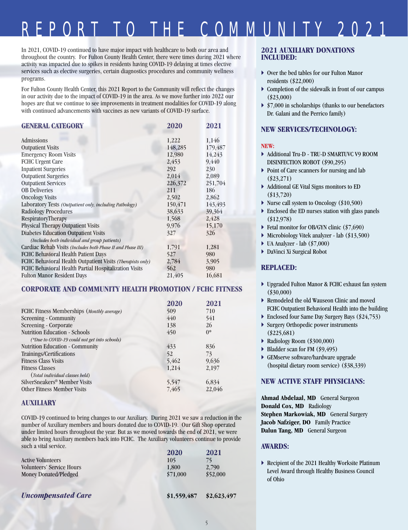# REPORT TO THE COMMUNITY 2021

In 2021, COVID-19 continued to have major impact with healthcare to both our area and throughout the country. For Fulton County Health Center, there were times during 2021 where activity was impacted due to spikes in residents having COVID-19 delaying at times elective services such as elective surgeries, certain diagnostics procedures and community wellness programs.

For Fulton County Health Center, this 2021 Report to the Community will reflect the changes in our activity due to the impact of COVID-19 in the area. As we move further into 2022 our hopes are that we continue to see improvements in treatment modalities for COVID-19 along with continued advancements with vaccines as new variants of COVID-19 surface.

| <b>GENERAL CATEGORY</b>                                     | 2020    | 2021    |
|-------------------------------------------------------------|---------|---------|
| Admissions                                                  | 1,222   | 1,146   |
| <b>Outpatient Visits</b>                                    | 148,285 | 179,487 |
| <b>Emergency Room Visits</b>                                | 12,980  | 14,243  |
| <b>FCHC Urgent Care</b>                                     | 2,453   | 9,440   |
| <b>Inpatient Surgeries</b>                                  | 292     | 230     |
| <b>Outpatient Surgeries</b>                                 | 2,014   | 2,089   |
| <b>Outpatient Services</b>                                  | 226,372 | 251,704 |
| <b>OB</b> Deliveries                                        | 211     | 186     |
| <b>Oncology Visits</b>                                      | 2,502   | 2,862   |
| Laboratory Tests (Outpatient only, including Pathology)     | 150,471 | 143,493 |
| <b>Radiology Procedures</b>                                 | 38,633  | 39,364  |
| RespiratoryTherapy                                          | 1,568   | 2,428   |
| <b>Physical Therapy Outpatient Visits</b>                   | 9,976   | 15,170  |
| <b>Diabetes Education Outpatient Visits</b>                 | 327     | 326     |
| (Includes both individual and group patients)               |         |         |
| Cardiac Rehab Visits (Includes both Phase II and Phase III) | 1,791   | 1,281   |
| FCHC Behavioral Health Patient Days                         | 527     | 980     |
| FCHC Behavioral Health Outpatient Visits (Therapists only)  | 2,784   | 3,905   |
| FCHC Behavioral Health Partial Hospitalization Visits       | 562     | 980     |
| <b>Fulton Manor Resident Days</b>                           | 21,405  | 16,681  |

# **CORPORATE AND COMMUNITY HEALTH PROMOTION / FCHC FITNESS**

|                                               | 2020  | 2021   |
|-----------------------------------------------|-------|--------|
| FCHC Fitness Memberships (Monthly average)    | 509   | 710    |
| Screening - Community                         | 440   | 541    |
| Screening - Corporate                         | 138   | 26     |
| <b>Nutrition Education - Schools</b>          | 450   | $0^*$  |
| (*Due to COVID-19 could not get into schools) |       |        |
| Nutrition Education - Community               | 433   | 836    |
| Trainings/Certifications                      | 52    | 73     |
| <b>Fitness Class Visits</b>                   | 5,462 | 9,636  |
| <b>Fitness Classes</b>                        | 1,214 | 2,197  |
| (Total individual classes held)               |       |        |
| SilverSneakers <sup>®</sup> Member Visits     | 5,547 | 6,834  |
| <b>Other Fitness Member Visits</b>            | 7,465 | 22,046 |

# **AUXILIARY**

COVID-19 continued to bring changes to our Auxiliary. During 2021 we saw a reduction in the number of Auxiliary members and hours donated due to COVID-19. Our Gift Shop operated under limited hours throughout the year. But as we moved towards the end of  $20\overline{2}1$ , we were able to bring Auxiliary members back into FCHC. The Auxiliary volunteers continue to provide such a vital service.

|                                  | 2020     | 2021     |
|----------------------------------|----------|----------|
| <b>Active Volunteers</b>         | 105      | 75       |
| <b>Volunteers' Service Hours</b> | 1,800    | 2,790    |
| Money Donated/Pledged            | \$71,000 | \$52,000 |
|                                  |          |          |
|                                  |          |          |

*Uncompensated Care* **\$1,559,487 \$2,623,497**

# **2021 AUXILIARY DONATIONS INCLUDED:**

- Over the bed tables for our Fulton Manor residents (\$22,000)
- $\triangleright$  Completion of the sidewalk in front of our campus (\$23,000)
- $\triangleright$  \$7,000 in scholarships (thanks to our benefactors Dr. Galani and the Perrico family)

# **NEW SERVICES/TECHNOLOGY:**

## **NEW:**

- Additional Tru-D TRU-D SMARTUVC V9 ROOM DISINFECTION ROBOT (\$90,295)
- Point of Care scanners for nursing and lab (\$23,271)
- Additional GE Vital Signs monitors to ED (\$13,720)
- ▶ Nurse call system to Oncology (\$10,500)
- Enclosed the ED nurses station with glass panels (\$12,978)
- Fetal monitor for OB/GYN clinic (\$7,690)
- Microbiology Vitek analyzer lab (\$13,500)
- $\blacktriangleright$  UA Analyzer lab (\$7,000)
- DaVinci Xi Surgical Robot

## **REPLACED:**

- Upgraded Fulton Manor & FCHC exhaust fan system (\$30,000)
- ▶ Remodeled the old Wauseon Clinic and moved FCHC Outpatient Behavioral Health into the building
- Enclosed four Same Day Surgery Bays (\$24,753)
- ▶ Surgery Orthopedic power instruments (\$225,681)
- Radiology Room (\$300,000)
- Bladder scan for FM (\$9,495)
- GEMserve software/hardware upgrade (hospital dietary room service) (\$38,339)

# **NEW ACTIVE STAFF PHYSICIANS:**

**Ahmad Abdelaal, MD** General Surgeon **Donald Cox, MD** Radiology **Stephen Markowiak, MD** General Surgery **Jacob Nafziger, DO** Family Practice **Dalun Tang, MD** General Surgeon

## **AWARDS:**

 Recipient of the 2021 Healthy Worksite Platinum Level Award through Healthy Business Council of Ohio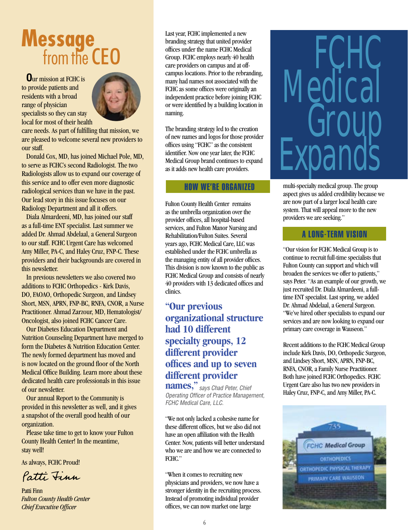# **Message**<br>from the CEO

**O**ur mission at FCHC is to provide patients and residents with a broad range of physician specialists so they can stay local for most of their health



care needs. As part of fulfilling that mission, we are pleased to welcome several new providers to our staff.

 Donald Cox, MD, has joined Michael Pole, MD, to serve as FCHC's second Radiologist. The two Radiologists allow us to expand our coverage of this service and to offer even more diagnostic radiological services than we have in the past. Our lead story in this issue focuses on our Radiology Department and all it offers.

 Diala Almardeeni, MD, has joined our staff as a full-time ENT specialist. Last summer we added Dr. Ahmad Abdelaal, a General Surgeon to our staff. FCHC Urgent Care has welcomed Amy Miller, PA-C, and Haley Cruz, FNP-C. These providers and their backgrounds are covered in this newsletter.

 In previous newsletters we also covered two additions to FCHC Orthopedics - Kirk Davis, DO, FAOAO, Orthopedic Surgeon, and Lindsey Short, MSN, APRN, FNP-BC, RNFA, CNOR, a Nurse Practitioner. Ahmad Zarzour, MD, Hematologist/ Oncologist, also joined FCHC Cancer Care.

 Our Diabetes Education Department and Nutrition Counseling Department have merged to form the Diabetes & Nutrition Education Center. The newly formed department has moved and is now located on the ground floor of the North Medical Office Building. Learn more about these dedicated health care professionals in this issue of our newsletter.

 Our annual Report to the Community is provided in this newsletter as well, and it gives a snapshot of the overall good health of our organization.

 Please take time to get to know your Fulton County Health Center! In the meantime, stay well!

As always, FCHC Proud!

Patti Finn

Patti Finn *Fulton County Health Center Chief Executive Officer*

Last year, FCHC implemented a new branding strategy that united provider offices under the name FCHC Medical Group. FCHC employs nearly 40 health care providers on campus and at offcampus locations. Prior to the rebranding, many had names not associated with the FCHC as some offices were originally an independent practice before joining FCHC or were identified by a building location in naming.

The branding strategy led to the creation of new names and logos for those provider offices using "FCHC" as the consistent identifier. Now one year later, the FCHC Medical Group brand continues to expand as it adds new health care providers.

# HOW WE'RE ORGANIZED

Fulton County Health Center remains as the umbrella organization over the provider offices, all hospital-based services, and Fulton Manor Nursing and Rehabilitation/Fulton Suites. Several years ago, FCHC Medical Care, LLC was established under the FCHC umbrella as the managing entity of all provider offices. This division is now known to the public as FCHC Medical Group and consists of nearly 40 providers with 13 dedicated offices and clinics.

# **"Our previous organizational structure had 10 different specialty groups, 12 different provider offices and up to seven different provider**

**names,"** says Chad Peter, Chief Operating Officer of Practice Management, FCHC Medical Care, LLC.

"We not only lacked a cohesive name for these different offices, but we also did not have an open affiliation with the Health Center. Now, patients will better understand who we are and how we are connected to FCHC."

"When it comes to recruiting new physicians and providers, we now have a stronger identity in the recruiting process. Instead of promoting individual provider offices, we can now market one large

# FCHC **Medical** Group **Expands**

multi-specialty medical group. The group aspect gives us added credibility because we are now part of a larger local health care system. That will appeal more to the new providers we are seeking."

# A LONG-TERM VISION

"Our vision for FCHC Medical Group is to continue to recruit full-time specialists that Fulton County can support and which will broaden the services we offer to patients," says Peter. "As an example of our growth, we just recruited Dr. Diala Almardeeni, a fulltime ENT specialist. Last spring, we added Dr. Ahmad Abdelaal, a General Surgeon. "We've hired other specialists to expand our services and are now looking to expand our primary care coverage in Wauseon."

Recent additions to the FCHC Medical Group include Kirk Davis, DO, Orthopedic Surgeon, and Lindsey Short, MSN, APRN, FNP-BC, RNFA, CNOR, a Family Nurse Practitioner. Both have joined FCHC Orthopedics. FCHC Urgent Care also has two new providers in Haley Cruz, FNP-C, and Amy Miller, PA-C.

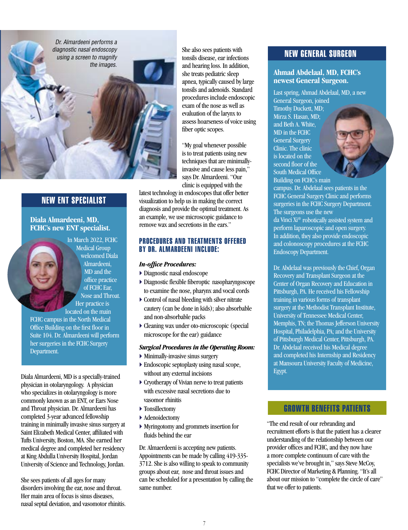

# NEW ENT SPECIALIST

# **Diala Almardeeni, MD, FCHC's new ENT specialist.**



Medical Group welcomed Diala Almardeeni, MD and the office practice of FCHC Ear, Nose and Throat. Her practice is

located on the main FCHC campus in the North Medical Office Building on the first floor in Suite 104. Dr. Almardeeni will perform her surgeries in the FCHC Surgery Department.

Diala Almardeeni, MD is a specially-trained physician in otolaryngology. A physician who specializes in otolaryngology is more commonly known as an ENT, or Ears Nose and Throat physician. Dr. Almardeeni has completed 3-year advanced fellowship training in minimally invasive sinus surgery at Saint Elizabeth Medical Center, affiliated with Tufts University, Boston, MA. She earned her medical degree and completed her residency at King Abdulla University Hospital, Jordan University of Science and Technology, Jordan.

She sees patients of all ages for many disorders involving the ear, nose and throat. Her main area of focus is sinus diseases, nasal septal deviation, and vasomotor rhinitis. She also sees patients with tonsils disease, ear infections and hearing loss. In addition, she treats pediatric sleep apnea, typically caused by large tonsils and adenoids. Standard procedures include endoscopic exam of the nose as well as evaluation of the larynx to assess hoarseness of voice using fiber optic scopes.

"My goal whenever possible is to treat patients using new techniques that are minimallyinvasive and cause less pain," says Dr. Almardeeni. "Our clinic is equipped with the

latest technology in endoscopes that offer better visualization to help us in making the correct diagnosis and provide the optimal treatment. As an example, we use microscopic guidance to remove wax and secretions in the ears."

# PROCEDURES AND TREATMENTS OFFERED BY DR. ALMARDEENI INCLUDE:

## *In-office Procedures:*

- Diagnostic nasal endoscope
- Diagnostic flexible fiberoptic nasopharyngoscope to examine the nose, pharynx and vocal cords
- $\triangleright$  Control of nasal bleeding with silver nitrate cautery (can be done in kids); also absorbable and non-absorbable packs
- Cleaning wax under oto-microscopic (special microscope for the ear) guidance

#### *Surgical Procedures in the Operating Room:*

- Minimally-invasive sinus surgery
- Endoscopic septoplasty using nasal scope, without any external incisions
- Cryotherapy of Vivian nerve to treat patients with excessive nasal secretions due to vasomor rhinitis
- ▶ Tonsillectomy
- ▶ Adenoidectomy
- Myringotomy and grommets insertion for fluids behind the ear

Dr. Almaerdeeni is accepting new patients. Appointments can be made by calling 419-335- 3712. She is also willing to speak to community groups about ear, nose and throat issues and can be scheduled for a presentation by calling the same number.

# NEW GENERAL SURGEON

## **Ahmad Abdelaal, MD, FCHC's newest General Surgeon.**

Last spring, Ahmad Abdelaal, MD, a new General Surgeon, joined Timothy Duckett, MD; Mirza S. Hasan, MD; and Beth A. White, MD in the FCHC General Surgery Clinic. The clinic is located on the second floor of the South Medical Office

Building on FCHC's main campus. Dr. Abdelaal sees patients in the FCHC General Surgery Clinic and performs surgeries in the FCHC Surgery Department. The surgeons use the new da Vinci Xi® robotically assisted system and perform laparoscopic and open surgery. In addition, they also provide endoscopic and colonoscopy procedures at the FCHC

Endoscopy Department.

Dr. Abdelaal was previously the Chief, Organ Recovery and Transplant Surgeon at the Center of Organ Recovery and Education in Pittsburgh, PA. He received his Fellowship training in various forms of transplant surgery at the Methodist Transplant Institute, University of Tennessee Medical Center, Memphis, TN; the Thomas Jefferson University Hospital, Philadelphia, PA; and the University of Pittsburgh Medical Center, Pittsburgh, PA. Dr. Abdelaal received his Medical degree and completed his Internship and Residency at Mansoura University Faculty of Medicine, Egypt.

# GROWTH BENEFITS PATIENTS

"The end result of our rebranding and recruitment efforts is that the patient has a clearer understanding of the relationship between our provider offices and FCHC, and they now have a more complete continuum of care with the specialists we've brought in," says Steve McCoy, FCHC Director of Marketing & Planning. "It's all about our mission to "complete the circle of care" that we offer to patients.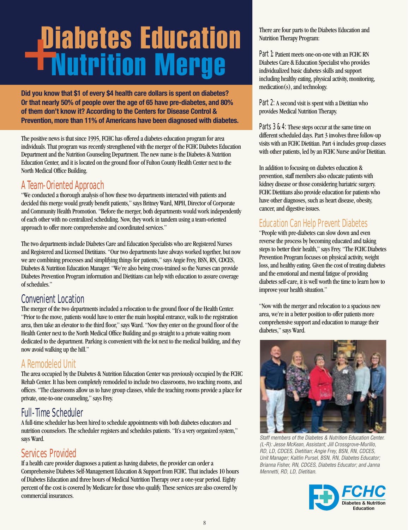# Diabetes Education+Nutrition Merge

**Did you know that \$1 of every \$4 health care dollars is spent on diabetes? Or that nearly 50% of people over the age of 65 have pre-diabetes, and 80% of them don't know it? According to the Centers for Disease Control & Prevention, more than 11% of Americans have been diagnosed with diabetes.** 

The positive news is that since 1995, FCHC has offered a diabetes education program for area individuals. That program was recently strengthened with the merger of the FCHC Diabetes Education Department and the Nutrition Counseling Department. The new name is the Diabetes & Nutrition Education Center, and it is located on the ground floor of Fulton County Health Center next to the North Medical Office Building.

# A Team-Oriented Approach

"We conducted a thorough analysis of how these two departments interacted with patients and decided this merge would greatly benefit patients," says Britney Ward, MPH, Director of Corporate and Community Health Promotion. "Before the merger, both departments would work independently of each other with no centralized scheduling. Now, they work in tandem using a team-oriented approach to offer more comprehensive and coordinated services."

The two departments include Diabetes Care and Education Specialists who are Registered Nurses and Registered and Licensed Dietitians. "Our two departments have always worked together, but now we are combining processes and simplifying things for patients," says Angie Frey, BSN, RN, CDCES, Diabetes & Nutrition Education Manager. "We're also being cross-trained so the Nurses can provide Diabetes Prevention Program information and Dietitians can help with education to assure coverage of schedules."

# Convenient Location

The merger of the two departments included a relocation to the ground floor of the Health Center. "Prior to the move, patients would have to enter the main hospital entrance, walk to the registration area, then take an elevator to the third floor," says Ward. "Now they enter on the ground floor of the Health Center next to the North Medical Office Building and go straight to a private waiting room dedicated to the department. Parking is convenient with the lot next to the medical building, and they now avoid walking up the hill."

# A Remodeled Unit

The area occupied by the Diabetes & Nutrition Education Center was previously occupied by the FCHC Rehab Center. It has been completely remodeled to include two classrooms, two teaching rooms, and offices. "The classrooms allow us to have group classes, while the teaching rooms provide a place for private, one-to-one counseling," says Frey.

# Full-Time Scheduler

A full-time scheduler has been hired to schedule appointments with both diabetes educators and nutrition counselors. The scheduler registers and schedules patients. "It's a very organized system," says Ward.

# Services Provided

If a health care provider diagnoses a patient as having diabetes, the provider can order a Comprehensive Diabetes Self-Management Education & Support from FCHC. That includes 10 hours of Diabetes Education and three hours of Medical Nutrition Therapy over a one-year period. Eighty percent of the cost is covered by Medicare for those who qualify. These services are also covered by **FCHC**<br>commercial insurances.

There are four parts to the Diabetes Education and Nutrition Therapy Program:

Part 1: Patient meets one-on-one with an FCHC RN Diabetes Care & Education Specialist who provides individualized basic diabetes skills and support including healthy eating, physical activity, monitoring, medication(s), and technology.

Part 2: A second visit is spent with a Dietitian who provides Medical Nutrition Therapy.

Parts 3 & 4: These steps occur at the same time on different scheduled days. Part 3 involves three follow-up visits with an FCHC Dietitian. Part 4 includes group classes with other patients, led by an FCHC Nurse and/or Dietitian.

In addition to focusing on diabetes education & prevention, staff members also educate patients with kidney disease or those considering bariatric surgery. FCHC Dietitians also provide education for patients who have other diagnoses, such as heart disease, obesity, cancer, and digestive issues.

# Education Can Help Prevent Diabetes

"People with pre-diabetes can slow down and even reverse the process by becoming educated and taking steps to better their health," says Frey. "The FCHC Diabetes Prevention Program focuses on physical activity, weight loss, and healthy eating. Given the cost of treating diabetes and the emotional and mental fatigue of providing diabetes self-care, it is well worth the time to learn how to improve your health situation."

"Now with the merger and relocation to a spacious new area, we're in a better position to offer patients more comprehensive support and education to manage their diabetes," says Ward.



Staff members of the Diabetes & Nutrition Education Center. (L-R): Jesse McKean, Assistant; Jill Crossgrove-Murillo, RD, LD, CDCES, Dietitian; Angie Frey, BSN, RN, CDCES, Unit Manager; Kaitlin Pursel, BSN, RN, Diabetes Educator; Brianna Fisher, RN, CDCES, Diabetes Educator; and Janna Mennetti, RD, LD, Dietitian.

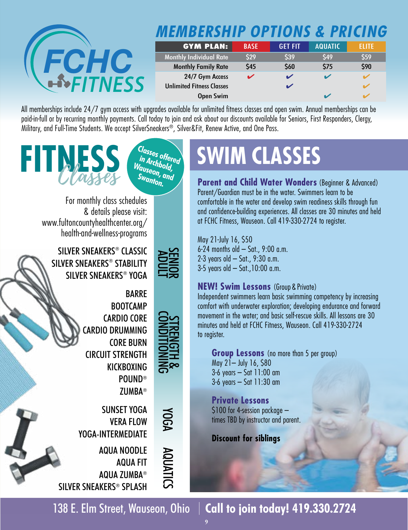

# **MEMBERSHIP OPTIONS & PRICING**

| <b>GYM PLAN:</b>                 | <b>BASE</b> | <b>GET FIT</b> | <b>AQUATIC</b> | ELITE |
|----------------------------------|-------------|----------------|----------------|-------|
| <b>Monthly Individual Rate</b>   | \$29        | \$39           | \$49           | \$59  |
| <b>Monthly Family Rate</b>       | \$45        | \$60           | \$75           | \$90  |
| 24/7 Gym Access                  | ✔           |                |                |       |
| <b>Unlimited Fitness Classes</b> |             |                |                |       |
| Open Swim                        |             |                |                |       |

All memberships include 24/7 gym access with upgrades available for unlimited fitness classes and open swim. Annual memberships can be paid-in-full or by recurring monthly payments. Call today to join and ask about our discounts available for Seniors, First Responders, Clergy, Military, and Full-Time Students. We accept SilverSneakers®, Silver&Fit, Renew Active, and One Pass.





 ADULT SENIOR

STRENGTH & CONDITIONING

YOGA

AQUATICS

For monthly class schedules & details please visit: [www.fultoncountyhealthcenter.org/](http://www.fultoncountyhealthcenter.org/health-and-wellness-programs) [health-and-wellness-programs](http://www.fultoncountyhealthcenter.org/health-and-wellness-programs)

SILVER SNEAKERS® CLASSIC SILVER SNEAKERS® STABILITY SILVER SNEAKERS® YOGA

> BARRE BOOTCAMP CARDIO CORE CARDIO DRUMMING CORE BURN CIRCUIT STRENGTH KICKBOXING POUND® ZUMBA®

SUNSET YOGA VERA FLOW YOGA-INTERMEDIATE

AQUA NOODLE AQUA FIT AQUA ZUMBA® SILVER SNEAKERS® SPLASH

# **SWIM CLASSES**

**Parent and Child Water Wonders** (Beginner & Advanced) Parent/Guardian must be in the water. Swimmers learn to be comfortable in the water and develop swim readiness skills through fun and confidence-building experiences. All classes are 30 minutes and held at FCHC Fitness, Wauseon. Call 419-330-2724 to register.

May 21-July 16, \$50 6-24 months old – Sat., 9:00 a.m. 2-3 years old – Sat., 9:30 a.m. 3-5 years old – Sat.,10:00 a.m.

# **NEW! Swim Lessons** (Group & Private)

Independent swimmers learn basic swimming competency by increasing comfort with underwater exploration; developing endurance and forward movement in the water; and basic self-rescue skills. All lessons are 30 minutes and held at FCHC Fitness, Wauseon. Call 419-330-2724 to register.

# **Group Lessons** (no more than 5 per group)

May 21– July 16, \$80 3-6 years – Sat 11:00 am 3-6 years – Sat 11:30 am

**Private Lessons** \$100 for 4-session package – times TBD by instructor and parent.

**Discount for siblings**

138 E. Elm Street, Wauseon, Ohio **Call to join today! 419.330.2724**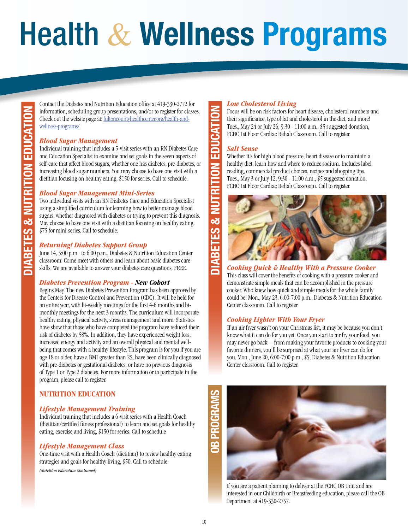# Health & **Wellness Programs**

Contact the Diabetes and Nutrition Education office at 419-330-2772 for information, scheduling group presentations, and/or to register for classes. Check out the website page at: [fultoncountyhealthcenter.org/health-and](http://fultoncountyhealthcenter.org/health-and-wellness-programs/)[wellness-programs/](http://fultoncountyhealthcenter.org/health-and-wellness-programs/)

# *Blood Sugar Management*

Individual training that includes a 5-visit series with an RN Diabetes Care and Education Specialist to examine and set goals in the seven aspects of self-care that affect blood sugars, whether one has diabetes, pre-diabetes, or increasing blood sugar numbers. You may choose to have one visit with a dietitian focusing on healthy eating. \$150 for series. Call to schedule.

## *Blood Sugar Management Mini-Series*

Two individual visits with an RN Diabetes Care and Education Specialist using a simplified curriculum for learning how to better manage blood sugars, whether diagnosed with diabetes or trying to prevent this diagnosis. May choose to have one visit with a dietitian focusing on healthy eating. \$75 for mini-series. Call to schedule.

# *Returning! Diabetes Support Group*

June 14, 5:00 p.m. to 6:00 p.m., Diabetes & Nutrition Education Center classroom. Come meet with others and learn about basic diabetes care skills. We are available to answer your diabetes care questions. FREE.

## *Diabetes Prevention Program - New Cohort*

Begins May. The new Diabetes Prevention Program has been approved by the Centers for Disease Control and Prevention (CDC). It will be held for an entire year, with bi-weekly meetings for the first 4-6 months and bimonthly meetings for the next 3 months. The curriculum will incorporate healthy eating, physical activity, stress management and more. Statistics have show that those who have completed the program have reduced their risk of diabetes by 58%. In addition, they have experienced weight loss, increased energy and activity and an overall physical and mental wellbeing that comes with a healthy lifestyle. This program is for you if you are age 18 or older, have a BMI greater than 25, have been clinically diagnosed with pre-diabetes or gestational diabetes, or have no previous diagnosis of Type 1 or Type 2 diabetes. For more information or to participate in the program, please call to register.

# **NUTRITION EDUCATION**

## *Lifestyle Management Training*

Individual training that includes a 6-visit series with a Health Coach (dietitian/certified fitness professional) to learn and set goals for healthy eating, exercise and living, \$150 for series. Call to schedule

## *Lifestyle Management Class*

One-time visit with a Health Coach (dietitian) to review healthy eating strategies and goals for healthy living, \$50. Call to schedule.

*(Nutrition Education Continued)* 

# *Low Cholesterol Living*

Focus will be on risk factors for heart disease, cholesterol numbers and their significance, type of fat and cholesterol in the diet, and more! Tues., May 24 or July 26, 9:30 - 11:00 a.m., \$5 suggested donation, FCHC 1st Floor Cardiac Rehab Classroom. Call to register.

## *Salt Sense*

Whether it's for high blood pressure, heart disease or to maintain a healthy diet, learn how and where to reduce sodium. Includes label reading, commercial product choices, recipes and shopping tips. Tues., May 3 or July 12, 9:30 - 11:00 a.m., \$5 suggested donation, FCHC 1st Floor Cardiac Rehab Classroom. Call to register.



*Cooking Quick & Healthy With a Pressure Cooker*

This class will cover the benefits of cooking with a pressure cooker and demonstrate simple meals that can be accomplished in the pressure cooker. Who knew how quick and simple meals for the whole family could be! Mon., May 23, 6:00-7:00 p.m., Diabetes & Nutrition Education Center classroom. Call to register.

## *Cooking Lighter With Your Fryer*

If an air fryer wasn't on your Christmas list, it may be because you don't know what it can do for you yet. Once you start to air fry your food, you may never go back—from making your favorite products to cooking your favorite dinners, you'll be surprised at what your air fryer can do for you. Mon., June 20, 6:00-7:00 p.m., \$5, Diabetes & Nutrition Education Center classroom. Call to register.



If you are a patient planning to deliver at the FCHC OB Unit and are interested in our Childbirth or Breastfeeding education, please call the OB Department at 419-330-2757.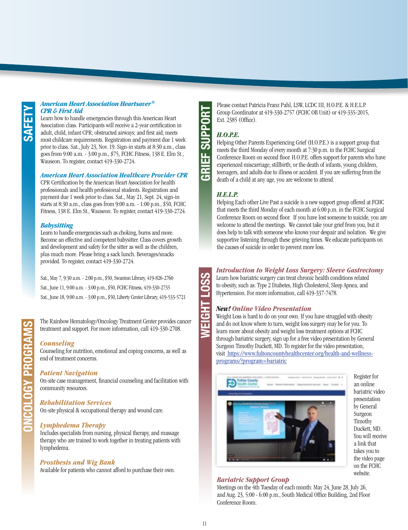#### *American Heart Association Heartsaver® CPR & First Aid*

Learn how to handle emergencies through this American Heart Association class. Participants will receive a 2-year certification in adult, child, infant CPR; obstructed airways; and first aid; meets most childcare requirements. Registration and payment due 1 week prior to class. Sat., July 23, Nov. 19. Sign-in starts at 8:30 a.m., class goes from 9:00 a.m. - 3:00 p.m., \$75, FCHC Fitness, 138 E. Elm St., Wauseon. To register, contact 419-330-2724.

#### *American Heart Association Healthcare Provider CPR*

CPR Certification by the American Heart Association for health professionals and health professional students. Registration and payment due 1 week prior to class. Sat., May 21, Sept. 24, sign-in starts at 8:30 a.m., class goes from 9:00 a.m. - 1:00 p.m., \$50, FCHC Fitness, 138 E. Elm St., Wauseon. To register, contact 419-330-2724.

# *Babysitting*

Learn to handle emergencies such as choking, burns and more. Become an effective and competent babysitter. Class covers growth and development and safety for the sitter as well as the children, plus much more. Please bring a sack lunch. Beverages/snacks provided. To register, contact 419-330-2724.

Sat., May 7, 9:30 a.m. - 2:00 p.m., \$50, Swanton Library, 419-826-2760 Sat., June 11, 9:00 a.m. - 3:00 p.m., \$50, FCHC Fitness, 419-330-2735 Sat., June 18, 9:00 a.m. - 3:00 p.m., \$50, Liberty Center Library, 419-533-5721

The Rainbow Hematology/Oncology Treatment Center provides cancer treatment and support. For more information, call 419-330-2708.

# *Counseling*

**ONCOLOGY PROGRAMS**

**ONCOLOGY PROGRAM** 

Counseling for nutrition, emotional and coping concerns, as well as end of treatment concerns.

## *Patient Navigation*

On-site case management, financial counseling and facilitation with community resources.

## *Rehabilitation Services*

On-site physical & occupational therapy and wound care.

# *Lymphedema Therapy*

Includes specialists from nursing, physical therapy, and massage therapy who are trained to work together in treating patients with lymphedema.

## *Prosthesis and Wig Bank*

Available for patients who cannot afford to purchase their own.

Please contact Patricia Franz Pahl, LSW, LCDC III, H.O.P.E. & H.E.L.P. Group Coordinator at 419-330-2757 (FCHC OB Unit) or 419-335-2015, Ext. 2385 (Office).

# *H.O.P.E.*

**GRIEF SUPPORT**

 $\overline{\mathcal{G}}$ Ë

 $\overline{R}$ 

**WEIGHT LOSS**

ہے<br>ت π Helping Other Parents Experiencing Grief (H.O.P.E.) is a support group that meets the third Monday of every month at 7:30 p.m. in the FCHC Surgical Conference Room on second floor. H.O.P.E. offers support for parents who have experienced miscarriage; stillbirth; or the death of infants, young children, teenagers, and adults due to illness or accident. If you are suffering from the death of a child at any age, you are welcome to attend.

# *H.E.L.P.*

Helping Each other Live Past a suicide is a new support group offered at FCHC that meets the third Monday of each month at 6:00 p.m. in the FCHC Surgical Conference Room on second floor. If you have lost someone to suicide, you are welcome to attend the meetings. We cannot take your grief from you, but it does help to talk with someone who knows your despair and isolation. We give supportive listening through these grieving times. We educate participants on the causes of suicide in order to prevent more loss.

# *Introduction to Weight Loss Surgery: Sleeve Gastrectomy*

Learn how bariatric surgery can treat chronic health conditions related to obesity, such as: Type 2 Diabetes, High Cholesterol, Sleep Apnea, and Hypertension. For more information, call 419-337-7478.

# *New! Online Video Presentation*

Weight Loss is hard to do on your own. If you have struggled with obesity and do not know where to turn, weight loss surgery may be for you. To learn more about obesity and weight loss treatment options at FCHC through bariatric surgery, sign up for a free video presentation by General Surgeon Timothy Duckett, MD. To register for the video presentation, visit [https://www.fultoncountyhealthcenter.org/health-and-wellness](https://www.fultoncountyhealthcenter.org/health-and-wellness-programs/?program=bariatric)[programs/?program=bariatric](https://www.fultoncountyhealthcenter.org/health-and-wellness-programs/?program=bariatric)



Register for an online bariatric video presentation by General Surgeon Timothy Duckett, MD. You will receive a link that takes you to the video page on the FCHC website.

# *Bariatric Support Group*

Meetings on the 4th Tuesday of each month: May 24, June 28, July 26, and Aug. 23, 5:00 - 6:00 p.m., South Medical Office Building, 2nd Floor Conference Room.

10 11